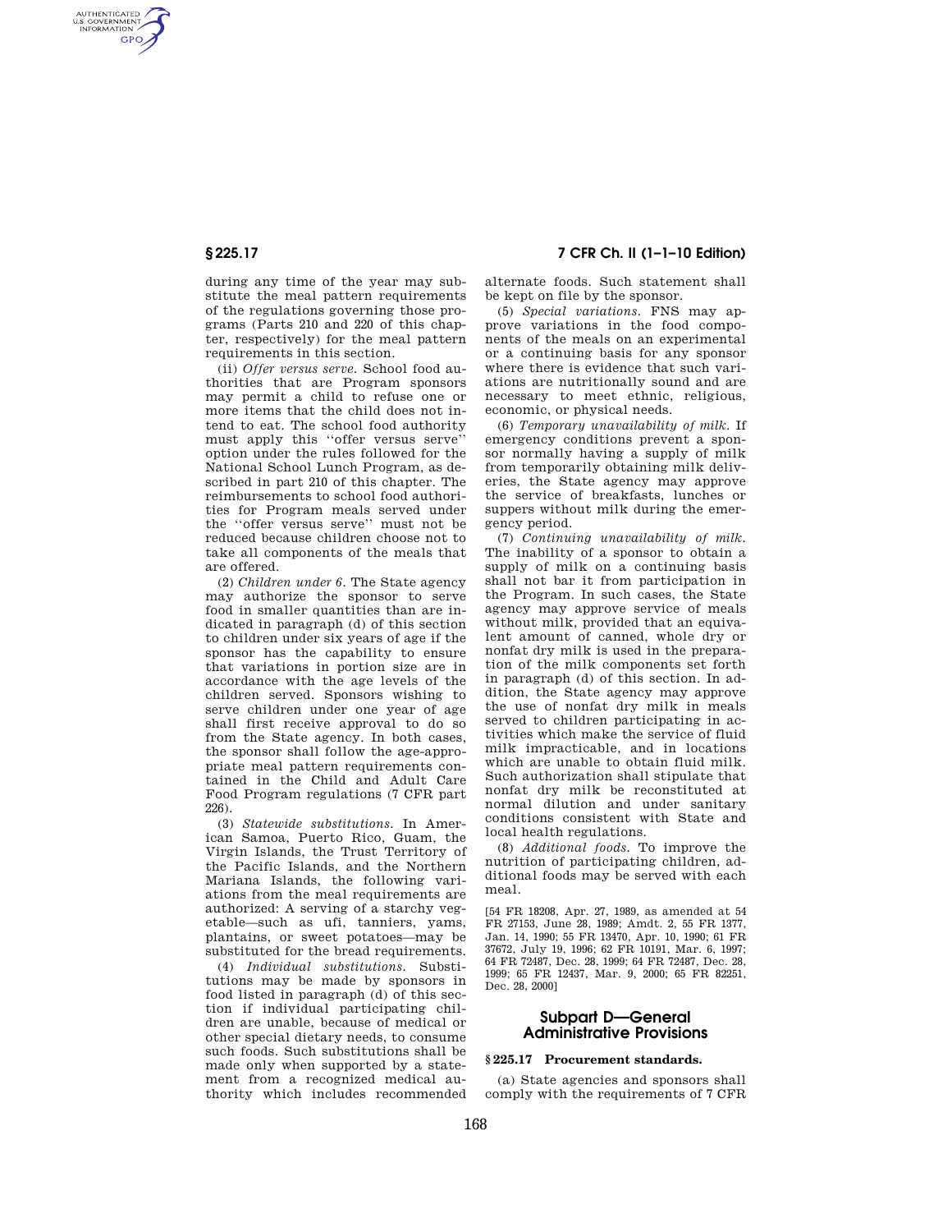AUTHENTICATED<br>U.S. GOVERNMENT<br>INFORMATION **GPO** 

> during any time of the year may substitute the meal pattern requirements of the regulations governing those programs (Parts 210 and 220 of this chapter, respectively) for the meal pattern requirements in this section.

> (ii) *Offer versus serve.* School food authorities that are Program sponsors may permit a child to refuse one or more items that the child does not intend to eat. The school food authority must apply this ''offer versus serve'' option under the rules followed for the National School Lunch Program, as described in part 210 of this chapter. The reimbursements to school food authorities for Program meals served under the ''offer versus serve'' must not be reduced because children choose not to take all components of the meals that are offered.

> (2) *Children under 6.* The State agency may authorize the sponsor to serve food in smaller quantities than are indicated in paragraph (d) of this section to children under six years of age if the sponsor has the capability to ensure that variations in portion size are in accordance with the age levels of the children served. Sponsors wishing to serve children under one year of age shall first receive approval to do so from the State agency. In both cases, the sponsor shall follow the age-appropriate meal pattern requirements contained in the Child and Adult Care Food Program regulations (7 CFR part 226).

> (3) *Statewide substitutions.* In American Samoa, Puerto Rico, Guam, the Virgin Islands, the Trust Territory of the Pacific Islands, and the Northern Mariana Islands, the following variations from the meal requirements are authorized: A serving of a starchy vegetable—such as ufi, tanniers, yams, plantains, or sweet potatoes—may be substituted for the bread requirements.

> (4) *Individual substitutions.* Substitutions may be made by sponsors in food listed in paragraph (d) of this section if individual participating children are unable, because of medical or other special dietary needs, to consume such foods. Such substitutions shall be made only when supported by a statement from a recognized medical authority which includes recommended

**§ 225.17 7 CFR Ch. II (1–1–10 Edition)** 

alternate foods. Such statement shall be kept on file by the sponsor.

(5) *Special variations.* FNS may approve variations in the food components of the meals on an experimental or a continuing basis for any sponsor where there is evidence that such variations are nutritionally sound and are necessary to meet ethnic, religious, economic, or physical needs.

(6) *Temporary unavailability of milk.* If emergency conditions prevent a sponsor normally having a supply of milk from temporarily obtaining milk deliveries, the State agency may approve the service of breakfasts, lunches or suppers without milk during the emergency period.

(7) *Continuing unavailability of milk.*  The inability of a sponsor to obtain a supply of milk on a continuing basis shall not bar it from participation in the Program. In such cases, the State agency may approve service of meals without milk, provided that an equivalent amount of canned, whole dry or nonfat dry milk is used in the preparation of the milk components set forth in paragraph (d) of this section. In addition, the State agency may approve the use of nonfat dry milk in meals served to children participating in activities which make the service of fluid milk impracticable, and in locations which are unable to obtain fluid milk. Such authorization shall stipulate that nonfat dry milk be reconstituted at normal dilution and under sanitary conditions consistent with State and local health regulations.

(8) *Additional foods.* To improve the nutrition of participating children, additional foods may be served with each meal.

[54 FR 18208, Apr. 27, 1989, as amended at 54 FR 27153, June 28, 1989; Amdt. 2, 55 FR 1377, Jan. 14, 1990; 55 FR 13470, Apr. 10, 1990; 61 FR 37672, July 19, 1996; 62 FR 10191, Mar. 6, 1997; 64 FR 72487, Dec. 28, 1999; 64 FR 72487, Dec. 28, 1999; 65 FR 12437, Mar. 9, 2000; 65 FR 82251, Dec. 28, 2000]

## **Subpart D—General Administrative Provisions**

## **§ 225.17 Procurement standards.**

(a) State agencies and sponsors shall comply with the requirements of 7 CFR